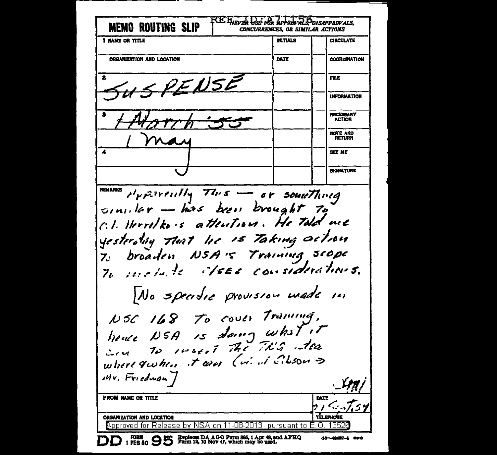RE BEVEL LEE FOR APPROVALS **MEMO ROUTING SLIP CONCURRENCES. OR SIMILAR ACTIONS INITIALS CIRCULATE** I NAME OR TITLE DATE **COORDINATION** ORGANIZATION AND LOCATION **FILE** RENSE **INFORMATION NECESSARY ACTION** NOTE AND RETURN **SEE ME SIGNATURE REMARKS**  $P_{\text{P}}$   $\tilde{P}$   $\tilde{P}$   $\tilde{P}$   $\tilde{P}$   $\tilde{P}$   $\tilde{P}$   $\tilde{P}$   $\tilde{P}$   $\tilde{P}$   $\tilde{P}$   $\tilde{P}$   $\tilde{P}$   $\tilde{P}$   $\tilde{P}$   $\tilde{P}$   $\tilde{P}$   $\tilde{P}$   $\tilde{P}$   $\tilde{P}$   $\tilde{P}$   $\tilde{P}$   $\tilde{P}$   $\tilde{P}$   $\tilde$ sinilar - has been brought to C.I. Herrolko's attention. He told me yesterting that he is Taking action 7. broaden NSA's Training scope 70 models de des considerations. No specific provision wade in  $105c$  168 To cover Traning, hence NSA is doing what it in To russel the This dea where queher it ares (wind citizen > Mr. Friedwan **FROM NAME OR TITLE** DATE **TELEPHONE** ORGANIZATION AND LOCATION Approved for Release by NSA on 11-08-2013 pursuant to E.O. 13526 FORM [ FEB 50  $95$   $\frac{5}{2}$   $\frac{1}{2}$   $\frac{1}{2}$   $\frac{1}{2}$   $\frac{1}{2}$   $\frac{1}{2}$   $\frac{1}{2}$   $\frac{1}{2}$   $\frac{1}{2}$   $\frac{1}{2}$   $\frac{1}{2}$   $\frac{1}{2}$   $\frac{1}{2}$   $\frac{1}{2}$   $\frac{1}{2}$   $\frac{1}{2}$   $\frac{1}{2}$   $\frac{1}{2}$   $\frac{1}{2}$   $\frac{1}{2}$   $\frac$  $-16 - 48487 - 4$  GPO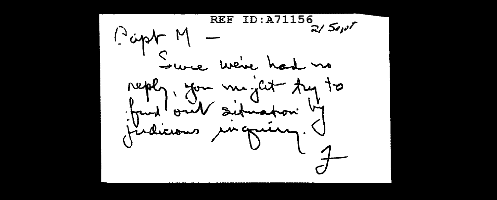$z/$  Sevi $^\prime$ M yapo. Sure we've had no reply. you meglet try to fund out situation by findicious unguing. V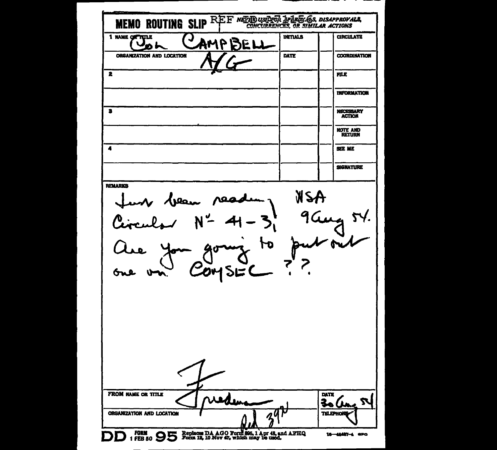| DATE<br>ORGANIZATION AND LOCATION<br>2<br>FILE<br>2<br><b>NECESSARY</b><br><b>ACTION</b><br><b>NOTE AND</b><br><b>RETURN</b><br>4<br><b>SEE ME</b><br>SIGNATURE<br>HEW<br>Jean 10<br>ъ<br>2045EC<br>DATE<br>$\boldsymbol{z}$ | 1 NAME OF TITLE | <u>J</u> | AMP<br>E | <b>INITIALS</b> | MEMO ROUTING SLIP REE NEED USER JE JAKES 65, DISAPPROVALS,<br><b>CIRCULATE</b> |
|------------------------------------------------------------------------------------------------------------------------------------------------------------------------------------------------------------------------------|-----------------|----------|----------|-----------------|--------------------------------------------------------------------------------|
|                                                                                                                                                                                                                              |                 |          |          |                 | <b>COORDINATION</b>                                                            |
|                                                                                                                                                                                                                              |                 |          |          |                 |                                                                                |
|                                                                                                                                                                                                                              |                 |          |          |                 | <b>INFORMATION</b>                                                             |
|                                                                                                                                                                                                                              |                 |          |          |                 |                                                                                |
|                                                                                                                                                                                                                              |                 |          |          |                 |                                                                                |
|                                                                                                                                                                                                                              |                 |          |          |                 |                                                                                |
|                                                                                                                                                                                                                              |                 |          |          |                 |                                                                                |
| FROM NAME OR TITLE                                                                                                                                                                                                           |                 |          |          |                 |                                                                                |
|                                                                                                                                                                                                                              | <b>REMARKS</b>  |          |          |                 |                                                                                |
|                                                                                                                                                                                                                              |                 |          |          |                 |                                                                                |
|                                                                                                                                                                                                                              |                 |          |          |                 |                                                                                |
|                                                                                                                                                                                                                              |                 |          |          |                 |                                                                                |
| ORGANIZATION AND LOCATION                                                                                                                                                                                                    |                 |          |          |                 |                                                                                |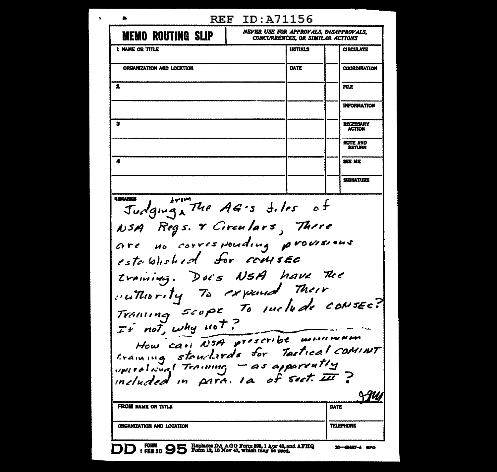| ∙                                                                                                                                                                                                                                                                                                                                                                                                                           | <b>REF ID:A71156</b>                                                                   |                                         |                                        |
|-----------------------------------------------------------------------------------------------------------------------------------------------------------------------------------------------------------------------------------------------------------------------------------------------------------------------------------------------------------------------------------------------------------------------------|----------------------------------------------------------------------------------------|-----------------------------------------|----------------------------------------|
| <b>MEMO ROUTING SLIP</b>                                                                                                                                                                                                                                                                                                                                                                                                    |                                                                                        | <b>CONCURRENCES, OR SIMILAR ACTIONS</b> | NEVER USE FOR APPROVALS, DISAPPROVALS. |
| 1 NAME OR TITLE                                                                                                                                                                                                                                                                                                                                                                                                             |                                                                                        | INITIALS                                | <b>CIRCULATE</b>                       |
| ORGANIZATION AND LOCATION                                                                                                                                                                                                                                                                                                                                                                                                   |                                                                                        | DATE                                    | <b>COORDINATION</b>                    |
| 2                                                                                                                                                                                                                                                                                                                                                                                                                           |                                                                                        |                                         | FILE                                   |
|                                                                                                                                                                                                                                                                                                                                                                                                                             |                                                                                        |                                         | INFORMATION                            |
| з                                                                                                                                                                                                                                                                                                                                                                                                                           |                                                                                        |                                         | NECESSARY<br><b>ACTION</b>             |
|                                                                                                                                                                                                                                                                                                                                                                                                                             |                                                                                        |                                         | <b>NOTE AND</b><br><b>RETURN</b>       |
|                                                                                                                                                                                                                                                                                                                                                                                                                             |                                                                                        |                                         | SEE ME                                 |
|                                                                                                                                                                                                                                                                                                                                                                                                                             |                                                                                        |                                         | SIGNATURE                              |
| NSA Regs. & Circulars, There<br>are no corresponding provisions<br>established for comsee<br>training. Does NSA have The<br>cuttority To expend Their<br>Training scope To suchede consec?<br>If not, why not?<br>How can NSA prescribe mentionen<br>training stouterds for Tastical COMINT<br>uperational Training - as apparently<br>included in para. Ia of sect. III<br>FROM NAME OR TITLE<br>ORGANIZATION AND LOCATION |                                                                                        |                                         | DATE<br>TELEPHONE                      |
|                                                                                                                                                                                                                                                                                                                                                                                                                             |                                                                                        |                                         |                                        |
| <b>FORM</b><br>1 FEB 80 - 2                                                                                                                                                                                                                                                                                                                                                                                                 | Replaces DA AGO Form 895, 1 Apr 48, and AFHQ<br>Form 12, 10 Nov 47, which may be used. |                                         | 16-48487-4 GPO                         |

 $\mathbf{r}$